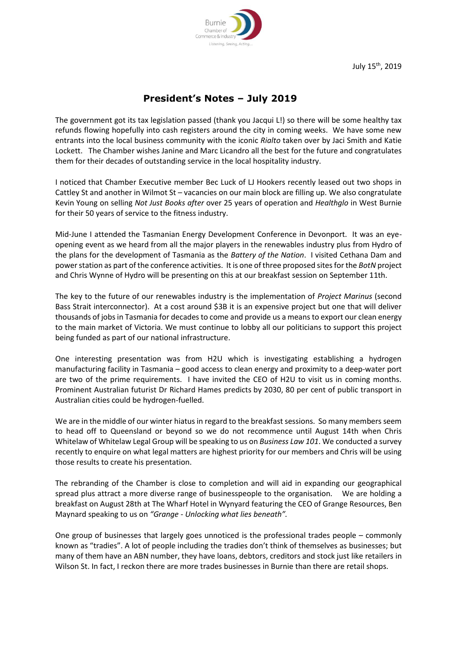

July 15 th, 2019

## **President's Notes – July 2019**

The government got its tax legislation passed (thank you Jacqui L!) so there will be some healthy tax refunds flowing hopefully into cash registers around the city in coming weeks. We have some new entrants into the local business community with the iconic *Rialto* taken over by Jaci Smith and Katie Lockett. The Chamber wishes Janine and Marc Licandro all the best for the future and congratulates them for their decades of outstanding service in the local hospitality industry.

I noticed that Chamber Executive member Bec Luck of LJ Hookers recently leased out two shops in Cattley St and another in Wilmot St – vacancies on our main block are filling up. We also congratulate Kevin Young on selling *Not Just Books after* over 25 years of operation and *Healthglo* in West Burnie for their 50 years of service to the fitness industry.

Mid-June I attended the Tasmanian Energy Development Conference in Devonport. It was an eyeopening event as we heard from all the major players in the renewables industry plus from Hydro of the plans for the development of Tasmania as the *Battery of the Nation*. I visited Cethana Dam and power station as part of the conference activities. It is one of three proposed sites for the *BotN* project and Chris Wynne of Hydro will be presenting on this at our breakfast session on September 11th.

The key to the future of our renewables industry is the implementation of *Project Marinus* (second Bass Strait interconnector). At a cost around \$3B it is an expensive project but one that will deliver thousands of jobs in Tasmania for decades to come and provide us a means to export our clean energy to the main market of Victoria. We must continue to lobby all our politicians to support this project being funded as part of our national infrastructure.

One interesting presentation was from H2U which is investigating establishing a hydrogen manufacturing facility in Tasmania – good access to clean energy and proximity to a deep-water port are two of the prime requirements. I have invited the CEO of H2U to visit us in coming months. Prominent Australian futurist Dr Richard Hames predicts by 2030, 80 per cent of public transport in Australian cities could be hydrogen-fuelled.

We are in the middle of our winter hiatus in regard to the breakfast sessions. So many members seem to head off to Queensland or beyond so we do not recommence until August 14th when Chris Whitelaw of Whitelaw Legal Group will be speaking to us on *Business Law 101*. We conducted a survey recently to enquire on what legal matters are highest priority for our members and Chris will be using those results to create his presentation.

The rebranding of the Chamber is close to completion and will aid in expanding our geographical spread plus attract a more diverse range of businesspeople to the organisation. We are holding a breakfast on August 28th at The Wharf Hotel in Wynyard featuring the CEO of Grange Resources, Ben Maynard speaking to us on *"Grange - Unlocking what lies beneath".*

One group of businesses that largely goes unnoticed is the professional trades people – commonly known as "tradies". A lot of people including the tradies don't think of themselves as businesses; but many of them have an ABN number, they have loans, debtors, creditors and stock just like retailers in Wilson St. In fact, I reckon there are more trades businesses in Burnie than there are retail shops.